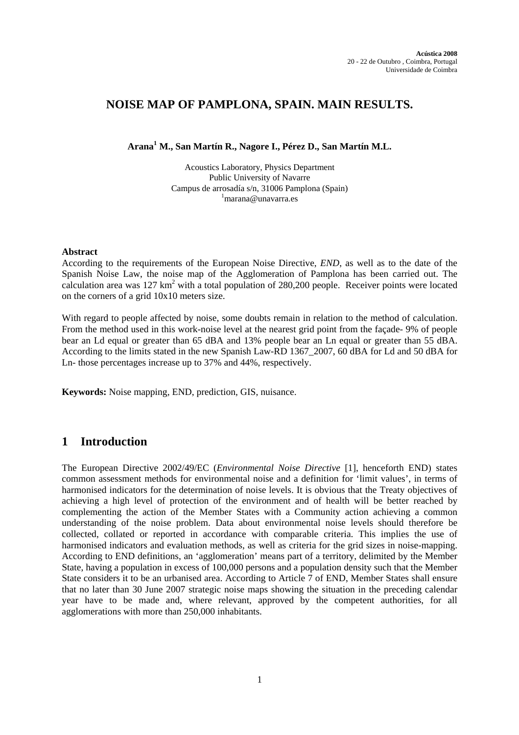# **NOISE MAP OF PAMPLONA, SPAIN. MAIN RESULTS.**

**Arana<sup>1</sup> M., San Martín R., Nagore I., Pérez D., San Martín M.L.** 

Acoustics Laboratory, Physics Department Public University of Navarre Campus de arrosadía s/n, 31006 Pamplona (Spain) 1  $\frac{1}{2}$ marana@unavarra.es

#### **Abstract**

According to the requirements of the European Noise Directive, *END*, as well as to the date of the Spanish Noise Law, the noise map of the Agglomeration of Pamplona has been carried out. The calculation area was  $127 \text{ km}^2$  with a total population of 280,200 people. Receiver points were located on the corners of a grid 10x10 meters size.

With regard to people affected by noise, some doubts remain in relation to the method of calculation. From the method used in this work-noise level at the nearest grid point from the façade- 9% of people bear an Ld equal or greater than 65 dBA and 13% people bear an Ln equal or greater than 55 dBA. According to the limits stated in the new Spanish Law-RD 1367\_2007, 60 dBA for Ld and 50 dBA for Ln- those percentages increase up to 37% and 44%, respectively.

**Keywords:** Noise mapping, END, prediction, GIS, nuisance.

## **1 Introduction**

The European Directive 2002/49/EC (*Environmental Noise Directive* [1], henceforth END) states common assessment methods for environmental noise and a definition for 'limit values', in terms of harmonised indicators for the determination of noise levels. It is obvious that the Treaty objectives of achieving a high level of protection of the environment and of health will be better reached by complementing the action of the Member States with a Community action achieving a common understanding of the noise problem. Data about environmental noise levels should therefore be collected, collated or reported in accordance with comparable criteria. This implies the use of harmonised indicators and evaluation methods, as well as criteria for the grid sizes in noise-mapping. According to END definitions, an 'agglomeration' means part of a territory, delimited by the Member State, having a population in excess of 100,000 persons and a population density such that the Member State considers it to be an urbanised area. According to Article 7 of END, Member States shall ensure that no later than 30 June 2007 strategic noise maps showing the situation in the preceding calendar year have to be made and, where relevant, approved by the competent authorities, for all agglomerations with more than 250,000 inhabitants.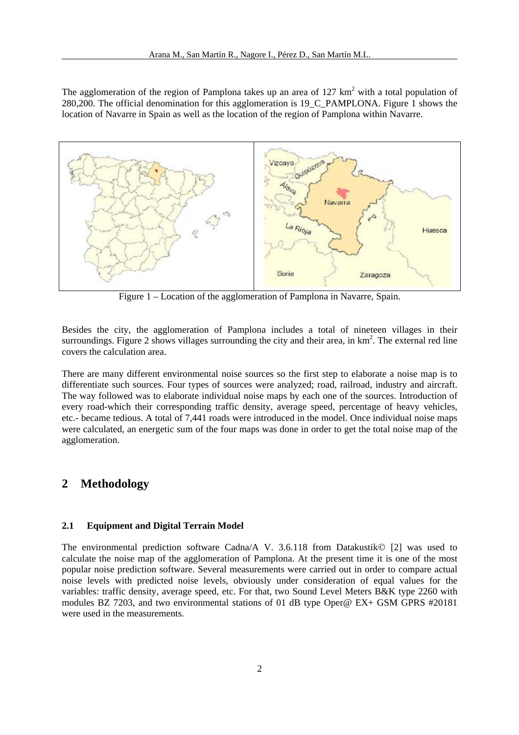The agglomeration of the region of Pamplona takes up an area of  $127 \text{ km}^2$  with a total population of 280,200. The official denomination for this agglomeration is 19\_C\_PAMPLONA. Figure 1 shows the location of Navarre in Spain as well as the location of the region of Pamplona within Navarre.



Figure 1 – Location of the agglomeration of Pamplona in Navarre, Spain.

Besides the city, the agglomeration of Pamplona includes a total of nineteen villages in their surroundings. Figure 2 shows villages surrounding the city and their area, in  $km<sup>2</sup>$ . The external red line covers the calculation area.

There are many different environmental noise sources so the first step to elaborate a noise map is to differentiate such sources. Four types of sources were analyzed; road, railroad, industry and aircraft. The way followed was to elaborate individual noise maps by each one of the sources. Introduction of every road-which their corresponding traffic density, average speed, percentage of heavy vehicles, etc.- became tedious. A total of 7,441 roads were introduced in the model. Once individual noise maps were calculated, an energetic sum of the four maps was done in order to get the total noise map of the agglomeration.

### **2 Methodology**

#### **2.1 Equipment and Digital Terrain Model**

The environmental prediction software Cadna/A V. 3.6.118 from Datakustik© [2] was used to calculate the noise map of the agglomeration of Pamplona. At the present time it is one of the most popular noise prediction software. Several measurements were carried out in order to compare actual noise levels with predicted noise levels, obviously under consideration of equal values for the variables: traffic density, average speed, etc. For that, two Sound Level Meters B&K type 2260 with modules BZ 7203, and two environmental stations of 01 dB type Oper@ EX+ GSM GPRS #20181 were used in the measurements.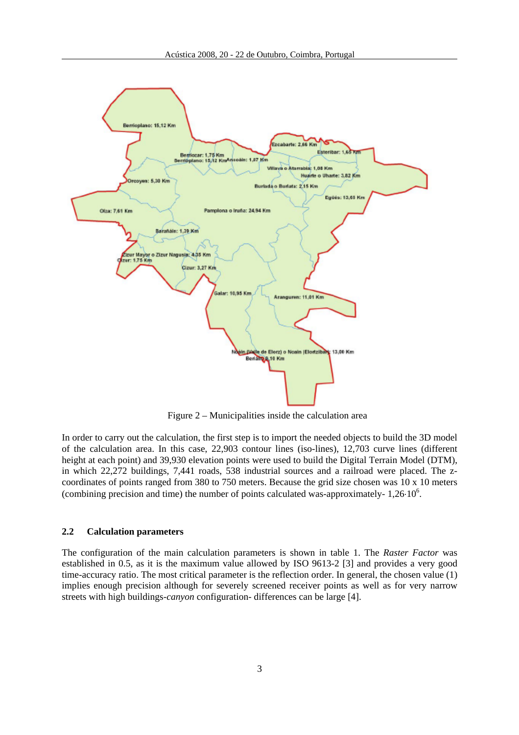

Figure 2 – Municipalities inside the calculation area

In order to carry out the calculation, the first step is to import the needed objects to build the 3D model of the calculation area. In this case, 22,903 contour lines (iso-lines), 12,703 curve lines (different height at each point) and 39,930 elevation points were used to build the Digital Terrain Model (DTM), in which 22,272 buildings, 7,441 roads, 538 industrial sources and a railroad were placed. The zcoordinates of points ranged from 380 to 750 meters. Because the grid size chosen was 10 x 10 meters (combining precision and time) the number of points calculated was-approximately-  $1,26 \cdot 10^6$ .

#### **2.2 Calculation parameters**

The configuration of the main calculation parameters is shown in table 1. The *Raster Factor* was established in 0.5, as it is the maximum value allowed by ISO 9613-2 [3] and provides a very good time-accuracy ratio. The most critical parameter is the reflection order. In general, the chosen value (1) implies enough precision although for severely screened receiver points as well as for very narrow streets with high buildings-*canyon* configuration- differences can be large [4].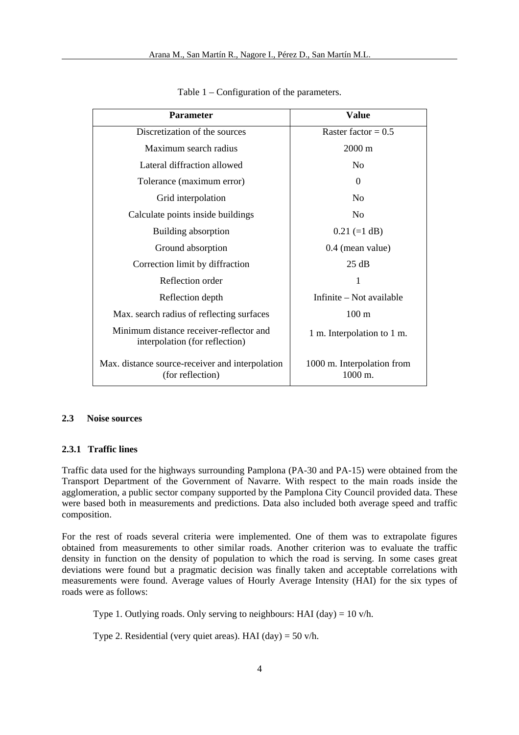| <b>Parameter</b>                                                          | <b>Value</b>                          |  |  |
|---------------------------------------------------------------------------|---------------------------------------|--|--|
| Discretization of the sources                                             | Raster factor = $0.5$                 |  |  |
| Maximum search radius                                                     | $2000 \text{ m}$                      |  |  |
| Lateral diffraction allowed                                               | No                                    |  |  |
| Tolerance (maximum error)                                                 | 0                                     |  |  |
| Grid interpolation                                                        | No                                    |  |  |
| Calculate points inside buildings                                         | N <sub>0</sub>                        |  |  |
| Building absorption                                                       | $0.21 (=1 dB)$                        |  |  |
| Ground absorption                                                         | 0.4 (mean value)                      |  |  |
| Correction limit by diffraction                                           | 25 dB                                 |  |  |
| Reflection order                                                          | 1                                     |  |  |
| Reflection depth                                                          | Infinite – Not available              |  |  |
| Max. search radius of reflecting surfaces                                 | 100 <sub>m</sub>                      |  |  |
| Minimum distance receiver-reflector and<br>interpolation (for reflection) | 1 m. Interpolation to 1 m.            |  |  |
| Max. distance source-receiver and interpolation<br>(for reflection)       | 1000 m. Interpolation from<br>1000 m. |  |  |

Table 1 – Configuration of the parameters.

### **2.3 Noise sources**

#### **2.3.1 Traffic lines**

Traffic data used for the highways surrounding Pamplona (PA-30 and PA-15) were obtained from the Transport Department of the Government of Navarre. With respect to the main roads inside the agglomeration, a public sector company supported by the Pamplona City Council provided data. These were based both in measurements and predictions. Data also included both average speed and traffic composition.

For the rest of roads several criteria were implemented. One of them was to extrapolate figures obtained from measurements to other similar roads. Another criterion was to evaluate the traffic density in function on the density of population to which the road is serving. In some cases great deviations were found but a pragmatic decision was finally taken and acceptable correlations with measurements were found. Average values of Hourly Average Intensity (HAI) for the six types of roads were as follows:

Type 1. Outlying roads. Only serving to neighbours: HAI  $(\text{day}) = 10 \text{ v/h}$ .

Type 2. Residential (very quiet areas). HAI (day) =  $50$  v/h.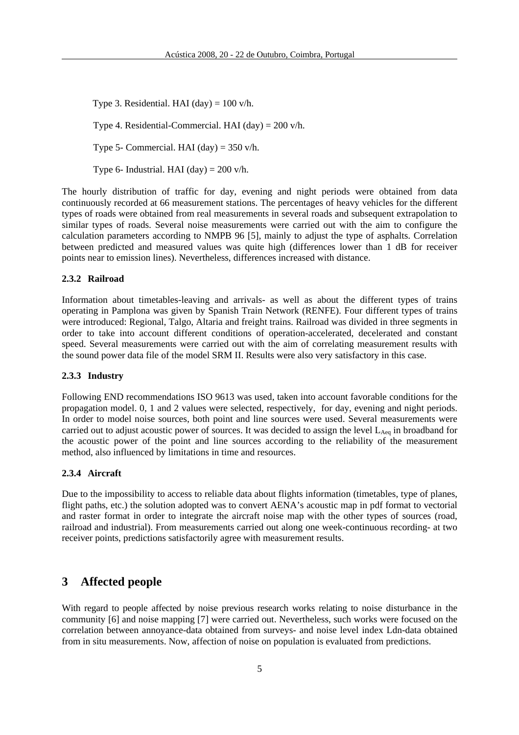Type 3. Residential. HAI  $(\text{day}) = 100 \text{ v/h}$ .

Type 4. Residential-Commercial. HAI  $(\text{day}) = 200 \text{ v/h}$ .

Type 5- Commercial. HAI  $(\text{day}) = 350 \text{ v/h}$ .

Type 6- Industrial. HAI  $(\text{day}) = 200 \text{ v/h}$ .

The hourly distribution of traffic for day, evening and night periods were obtained from data continuously recorded at 66 measurement stations. The percentages of heavy vehicles for the different types of roads were obtained from real measurements in several roads and subsequent extrapolation to similar types of roads. Several noise measurements were carried out with the aim to configure the calculation parameters according to NMPB 96 [5], mainly to adjust the type of asphalts. Correlation between predicted and measured values was quite high (differences lower than 1 dB for receiver points near to emission lines). Nevertheless, differences increased with distance.

#### **2.3.2 Railroad**

Information about timetables-leaving and arrivals- as well as about the different types of trains operating in Pamplona was given by Spanish Train Network (RENFE). Four different types of trains were introduced: Regional, Talgo, Altaria and freight trains. Railroad was divided in three segments in order to take into account different conditions of operation-accelerated, decelerated and constant speed. Several measurements were carried out with the aim of correlating measurement results with the sound power data file of the model SRM II. Results were also very satisfactory in this case.

#### **2.3.3 Industry**

Following END recommendations ISO 9613 was used, taken into account favorable conditions for the propagation model. 0, 1 and 2 values were selected, respectively, for day, evening and night periods. In order to model noise sources, both point and line sources were used. Several measurements were carried out to adjust acoustic power of sources. It was decided to assign the level  $L_{Aeq}$  in broadband for the acoustic power of the point and line sources according to the reliability of the measurement method, also influenced by limitations in time and resources.

### **2.3.4 Aircraft**

Due to the impossibility to access to reliable data about flights information (timetables, type of planes, flight paths, etc.) the solution adopted was to convert AENA's acoustic map in pdf format to vectorial and raster format in order to integrate the aircraft noise map with the other types of sources (road, railroad and industrial). From measurements carried out along one week-continuous recording- at two receiver points, predictions satisfactorily agree with measurement results.

## **3 Affected people**

With regard to people affected by noise previous research works relating to noise disturbance in the community [6] and noise mapping [7] were carried out. Nevertheless, such works were focused on the correlation between annoyance-data obtained from surveys- and noise level index Ldn-data obtained from in situ measurements. Now, affection of noise on population is evaluated from predictions.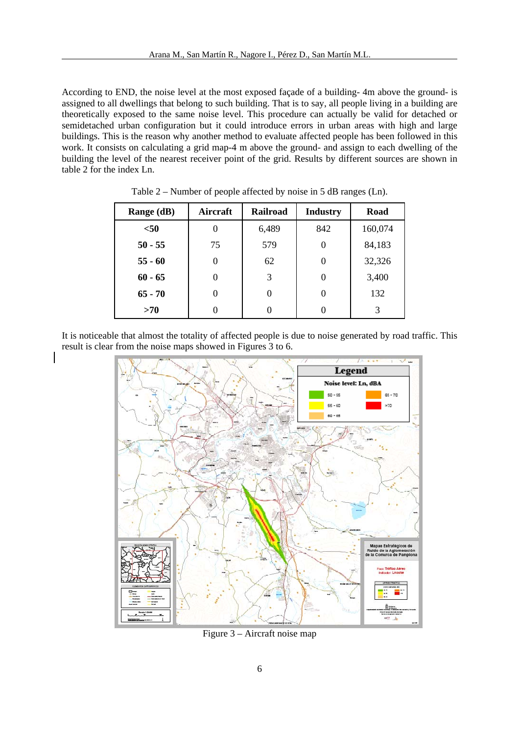According to END, the noise level at the most exposed façade of a building- 4m above the ground- is assigned to all dwellings that belong to such building. That is to say, all people living in a building are theoretically exposed to the same noise level. This procedure can actually be valid for detached or semidetached urban configuration but it could introduce errors in urban areas with high and large buildings. This is the reason why another method to evaluate affected people has been followed in this work. It consists on calculating a grid map-4 m above the ground- and assign to each dwelling of the building the level of the nearest receiver point of the grid. Results by different sources are shown in table 2 for the index Ln.

| Range (dB) | Aircraft | <b>Railroad</b> | <b>Industry</b> | Road    |
|------------|----------|-----------------|-----------------|---------|
| $50$       | $\theta$ | 6,489           | 842             | 160,074 |
| $50 - 55$  | 75       | 579             | $_{0}$          | 84,183  |
| $55 - 60$  | 0        | 62              | $_{0}$          | 32,326  |
| $60 - 65$  | 0        | 3               | $\theta$        | 3,400   |
| $65 - 70$  | 0        | 0               | $\theta$        | 132     |
| >70        |          |                 |                 | 3       |

Table 2 – Number of people affected by noise in 5 dB ranges (Ln).

It is noticeable that almost the totality of affected people is due to noise generated by road traffic. This result is clear from the noise maps showed in Figures 3 to 6.



Figure 3 – Aircraft noise map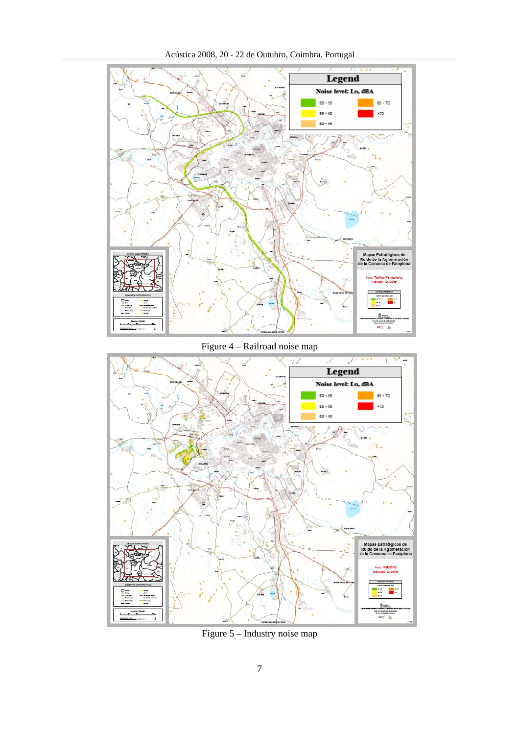



Figure 4 – Railroad noise map



Figure 5 – Industry noise map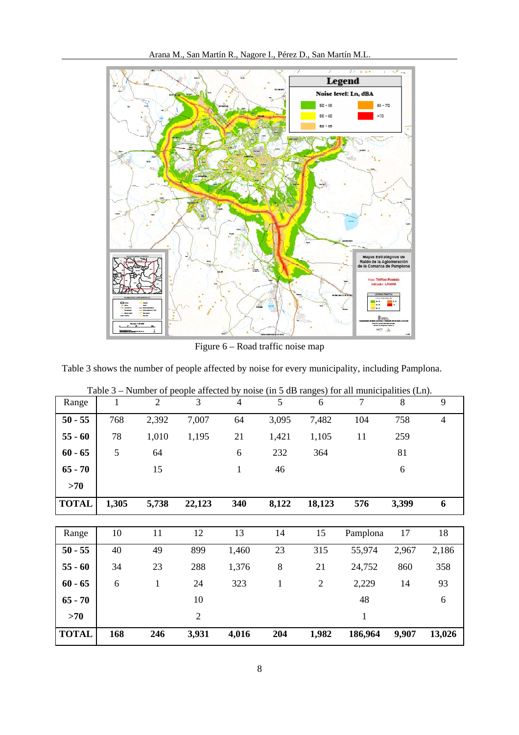

Figure 6 – Road traffic noise map

Table 3 shows the number of people affected by noise for every municipality, including Pamplona.

| Range        | $\mathbf{1}$ | $\overline{2}$ | 3              | $\overline{4}$ | 5            | 6              | 7            | 8     | 9              |
|--------------|--------------|----------------|----------------|----------------|--------------|----------------|--------------|-------|----------------|
| $50 - 55$    | 768          | 2,392          | 7,007          | 64             | 3,095        | 7,482          | 104          | 758   | $\overline{4}$ |
| $55 - 60$    | 78           | 1,010          | 1,195          | 21             | 1,421        | 1,105          | 11           | 259   |                |
| $60 - 65$    | 5            | 64             |                | 6              | 232          | 364            |              | 81    |                |
| $65 - 70$    |              | 15             |                | $\mathbf{1}$   | 46           |                |              | 6     |                |
| >70          |              |                |                |                |              |                |              |       |                |
| <b>TOTAL</b> | 1,305        | 5,738          | 22,123         | 340            | 8,122        | 18,123         | 576          | 3,399 | 6              |
|              |              |                |                |                |              |                |              |       |                |
|              |              |                |                |                |              |                |              |       |                |
| Range        | 10           | 11             | 12             | 13             | 14           | 15             | Pamplona     | 17    | 18             |
| $50 - 55$    | 40           | 49             | 899            | 1,460          | 23           | 315            | 55,974       | 2,967 | 2,186          |
| $55 - 60$    | 34           | 23             | 288            | 1,376          | 8            | 21             | 24,752       | 860   | 358            |
| $60 - 65$    | 6            | $\mathbf{1}$   | 24             | 323            | $\mathbf{1}$ | $\overline{2}$ | 2,229        | 14    | 93             |
| $65 - 70$    |              |                | 10             |                |              |                | 48           |       | 6              |
| >70          |              |                | $\mathfrak{2}$ |                |              |                | $\mathbf{1}$ |       |                |

Table 3 – Number of people affected by noise (in 5 dB ranges) for all municipalities (Ln).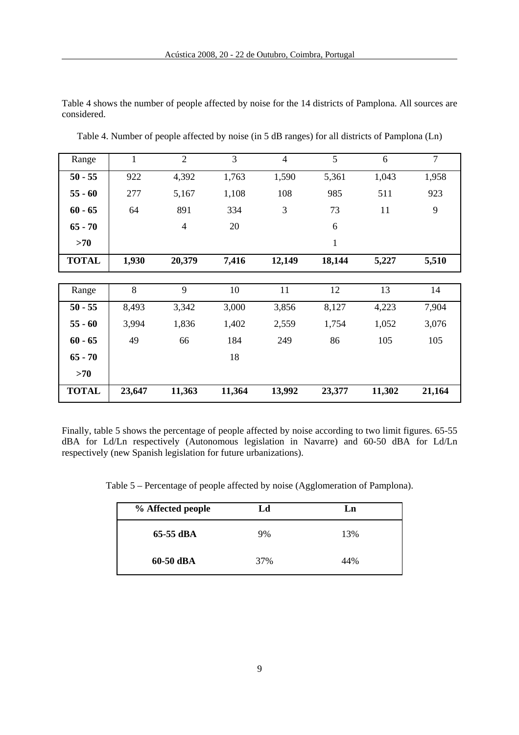Table 4 shows the number of people affected by noise for the 14 districts of Pamplona. All sources are considered.

| Range        | $\mathbf{1}$ | $\overline{2}$ | $\overline{3}$ | $\overline{4}$ | 5            | 6      | $\overline{7}$ |
|--------------|--------------|----------------|----------------|----------------|--------------|--------|----------------|
| $50 - 55$    | 922          | 4,392          | 1,763          | 1,590          | 5,361        | 1,043  | 1,958          |
| $55 - 60$    | 277          | 5,167          | 1,108          | 108            | 985          | 511    | 923            |
| $60 - 65$    | 64           | 891            | 334            | 3              | 73           | 11     | 9              |
| $65 - 70$    |              | $\overline{4}$ | 20             |                | 6            |        |                |
| >70          |              |                |                |                | $\mathbf{1}$ |        |                |
| <b>TOTAL</b> | 1,930        | 20,379         | 7,416          | 12,149         | 18,144       | 5,227  | 5,510          |
|              |              |                |                |                |              |        |                |
| Range        | 8            | 9              | 10             | 11             | 12           | 13     | 14             |
| $50 - 55$    | 8,493        | 3,342          | 3,000          | 3,856          | 8,127        | 4,223  | 7,904          |
| $55 - 60$    | 3,994        | 1,836          | 1,402          | 2,559          | 1,754        | 1,052  | 3,076          |
| $60 - 65$    | 49           | 66             | 184            | 249            | 86           | 105    | 105            |
| $65 - 70$    |              |                | 18             |                |              |        |                |
| >70          |              |                |                |                |              |        |                |
| <b>TOTAL</b> | 23,647       | 11,363         | 11,364         | 13,992         | 23,377       | 11,302 | 21,164         |

Table 4. Number of people affected by noise (in 5 dB ranges) for all districts of Pamplona (Ln)

Finally, table 5 shows the percentage of people affected by noise according to two limit figures. 65-55 dBA for Ld/Ln respectively (Autonomous legislation in Navarre) and 60-50 dBA for Ld/Ln respectively (new Spanish legislation for future urbanizations).

Table 5 – Percentage of people affected by noise (Agglomeration of Pamplona).

| % Affected people | Ld  | Ln  |
|-------------------|-----|-----|
| 65-55 dBA         | 9%  | 13% |
| 60-50 dBA         | 37% | 44% |